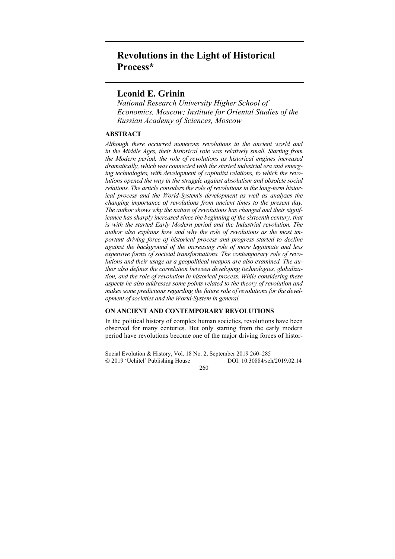# **Revolutions in the Light of Historical Process\***

# **Leonid E. Grinin**

*National Research University Higher School of Economics, Moscow; Institute for Oriental Studies of the Russian Academy of Sciences, Moscow* 

## **ABSTRACT**

*Although there occurred numerous revolutions in the ancient world and*  in the Middle Ages, their historical role was relatively small. Starting from *the Modern period, the role of revolutions as historical engines increased dramatically, which was connected with the started industrial era and emerging technologies, with development of capitalist relations, to which the revolutions opened the way in the struggle against absolutism and obsolete social relations. The article considers the role of revolutions in the long-term historical process and the World-System's development as well as analyzes the changing importance of revolutions from ancient times to the present day. The author shows why the nature of revolutions has changed and their significance has sharply increased since the beginning of the sixteenth century, that is with the started Early Modern period and the Industrial revolution. The author also explains how and why the role of revolutions as the most important driving force of historical process and progress started to decline against the background of the increasing role of more legitimate and less expensive forms of societal transformations. The contemporary role of revolutions and their usage as a geopolitical weapon are also examined. The author also defines the correlation between developing technologies, globalization, and the role of revolution in historical process. While considering these aspects he also addresses some points related to the theory of revolution and makes some predictions regarding the future role of revolutions for the development of societies and the World-System in general.* 

## **ON ANCIENT AND CONTEMPORARY REVOLUTIONS**

In the political history of complex human societies, revolutions have been observed for many centuries. But only starting from the early modern period have revolutions become one of the major driving forces of histor-

Social Evolution & History, Vol. 18 No. 2, September 2019 260–285 2019 'Uchitel' Publishing House DOI: 10.30884/seh/2019.02.14

260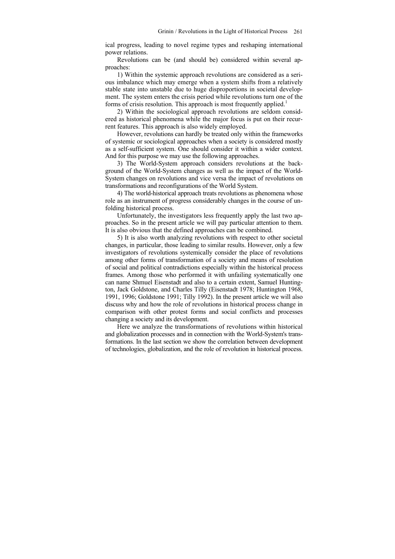ical progress, leading to novel regime types and reshaping international power relations.

Revolutions can be (and should be) considered within several approaches:

1) Within the systemic approach revolutions are considered as a serious imbalance which may emerge when a system shifts from a relatively stable state into unstable due to huge disproportions in societal development. The system enters the crisis period while revolutions turn one of the forms of crisis resolution. This approach is most frequently applied.<sup>1</sup>

2) Within the sociological approach revolutions are seldom considered as historical phenomena while the major focus is put on their recurrent features. This approach is also widely employed.

However, revolutions can hardly be treated only within the frameworks of systemic or sociological approaches when a society is considered mostly as a self-sufficient system. One should consider it within a wider context. And for this purpose we may use the following approaches.

3) The World-System approach considers revolutions at the background of the World-System changes as well as the impact of the World-System changes on revolutions and vice versa the impact of revolutions on transformations and reconfigurations of the World System.

4) The world-historical approach treats revolutions as phenomena whose role as an instrument of progress considerably changes in the course of unfolding historical process.

Unfortunately, the investigators less frequently apply the last two approaches. So in the present article we will pay particular attention to them. It is also obvious that the defined approaches can be combined.

5) It is also worth analyzing revolutions with respect to other societal changes, in particular, those leading to similar results. However, only a few investigators of revolutions systemically consider the place of revolutions among other forms of transformation of a society and means of resolution of social and political contradictions especially within the historical process frames. Among those who performed it with unfailing systematically one can name Shmuel Eisenstadt and also to a certain extent, Samuel Huntington, Jack Goldstone, and Charles Tilly (Eisenstadt 1978; Huntington 1968, 1991, 1996; Goldstone 1991; Tilly 1992). In the present article we will also discuss why and how the role of revolutions in historical process change in comparison with other protest forms and social conflicts and processes changing a society and its development.

Here we analyze the transformations of revolutions within historical and globalization processes and in connection with the World-System's transformations. In the last section we show the correlation between development of technologies, globalization, and the role of revolution in historical process.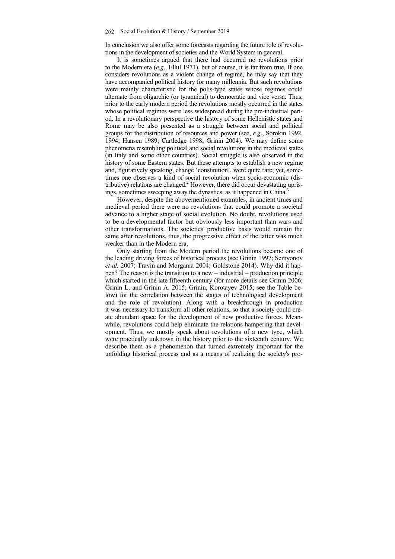In conclusion we also offer some forecasts regarding the future role of revolutions in the development of societies and the World System in general.

It is sometimes argued that there had occurred no revolutions prior to the Modern era (*e.g*., Ellul 1971), but of course, it is far from true. If one considers revolutions as a violent change of regime, he may say that they have accompanied political history for many millennia. But such revolutions were mainly characteristic for the polis-type states whose regimes could alternate from oligarchic (or tyrannical) to democratic and vice versa. Thus, prior to the early modern period the revolutions mostly occurred in the states whose political regimes were less widespread during the pre-industrial period. In a revolutionary perspective the history of some Hellenistic states and Rome may be also presented as a struggle between social and political groups for the distribution of resources and power (see, *e.g*., Sorokin 1992, 1994; Hansen 1989; Cartledge 1998; Grinin 2004). We may define some phenomena resembling political and social revolutions in the medieval states (in Italy and some other countries). Social struggle is also observed in the history of some Eastern states. But these attempts to establish a new regime and, figuratively speaking, change 'constitution', were quite rare; yet, sometimes one observes a kind of social revolution when socio-economic (distributive) relations are changed.<sup>2</sup> However, there did occur devastating uprisings, sometimes sweeping away the dynasties, as it happened in China.<sup>3</sup>

However, despite the abovementioned examples, in ancient times and medieval period there were no revolutions that could promote a societal advance to a higher stage of social evolution. No doubt, revolutions used to be a developmental factor but obviously less important than wars and other transformations. The societies' productive basis would remain the same after revolutions, thus, the progressive effect of the latter was much weaker than in the Modern era.

Only starting from the Modern period the revolutions became one of the leading driving forces of historical process (see Grinin 1997; Semyonov *et al.* 2007; Travin and Morgania 2004; Goldstone 2014). Why did it happen? The reason is the transition to a new – industrial – production principle which started in the late fifteenth century (for more details see Grinin 2006; Grinin L. and Grinin A. 2015; Grinin, Korotayev 2015; see the Table below) for the correlation between the stages of technological development and the role of revolution). Along with a breakthrough in production it was necessary to transform all other relations, so that a society could create abundant space for the development of new productive forces. Meanwhile, revolutions could help eliminate the relations hampering that development. Thus, we mostly speak about revolutions of a new type, which were practically unknown in the history prior to the sixteenth century. We describe them as a phenomenon that turned extremely important for the unfolding historical process and as a means of realizing the society's pro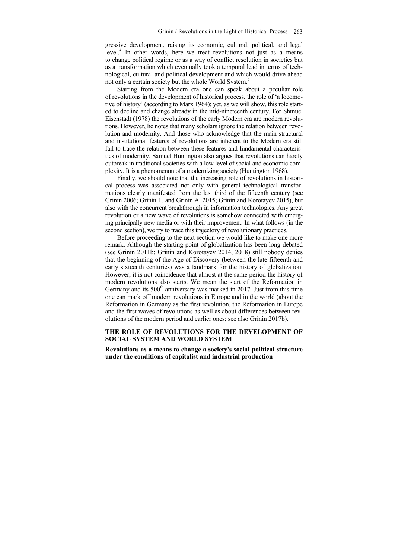gressive development, raising its economic, cultural, political, and legal level.<sup>4</sup> In other words, here we treat revolutions not just as a means to change political regime or as a way of conflict resolution in societies but as a transformation which eventually took a temporal lead in terms of technological, cultural and political development and which would drive ahead not only a certain society but the whole World System.<sup>5</sup>

Starting from the Modern era one can speak about a peculiar role of revolutions in the development of historical process, the role of 'a locomotive of history' (according to Marx 1964); yet, as we will show, this role started to decline and change already in the mid-nineteenth century. For Shmuel Eisenstadt (1978) the revolutions of the early Modern era are modern revolutions. However, he notes that many scholars ignore the relation between revolution and modernity. And those who acknowledge that the main structural and institutional features of revolutions are inherent to the Modern era still fail to trace the relation between these features and fundamental characteristics of modernity. Samuel Huntington also argues that revolutions can hardly outbreak in traditional societies with a low level of social and economic complexity. It is a phenomenon of a modernizing society (Huntington 1968).

Finally, we should note that the increasing role of revolutions in historical process was associated not only with general technological transformations clearly manifested from the last third of the fifteenth century (see Grinin 2006; Grinin L. and Grinin A. 2015; Grinin and Korotayev 2015), but also with the concurrent breakthrough in information technologies. Any great revolution or a new wave of revolutions is somehow connected with emerging principally new media or with their improvement. In what follows (in the second section), we try to trace this trajectory of revolutionary practices.

Before proceeding to the next section we would like to make one more remark. Although the starting point of globalization has been long debated (see Grinin 2011b; Grinin and Korotayev 2014, 2018) still nobody denies that the beginning of the Age of Discovery (between the late fifteenth and early sixteenth centuries) was a landmark for the history of globalization. However, it is not coincidence that almost at the same period the history of modern revolutions also starts. We mean the start of the Reformation in Germany and its  $500<sup>th</sup>$  anniversary was marked in 2017. Just from this time one can mark off modern revolutions in Europe and in the world (about the Reformation in Germany as the first revolution, the Reformation in Europe and the first waves of revolutions as well as about differences between revolutions of the modern period and earlier ones; see also Grinin 2017b).

## **THE ROLE OF REVOLUTIONS FOR THE DEVELOPMENT OF SOCIAL SYSTEM AND WORLD SYSTEM**

**Revolutions as a means to change a society's social-political structure under the conditions of capitalist and industrial production**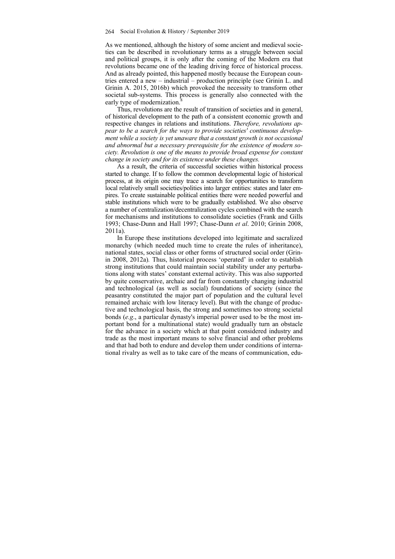As we mentioned, although the history of some ancient and medieval societies can be described in revolutionary terms as a struggle between social and political groups, it is only after the coming of the Modern era that revolutions became one of the leading driving force of historical process. And as already pointed, this happened mostly because the European countries entered a new – industrial – production principle (see Grinin L. and Grinin A. 2015, 2016b) which provoked the necessity to transform other societal sub-systems. This process is generally also connected with the early type of modernization.

Thus, revolutions are the result of transition of societies and in general, of historical development to the path of a consistent economic growth and respective changes in relations and institutions. *Therefore, revolutions appear to be a search for the ways to provide societies' continuous development while a society is yet unaware that a constant growth is not occasional and abnormal but a necessary prerequisite for the existence of modern society. Revolution is one of the means to provide broad expense for constant change in society and for its existence under these changes.* 

As a result, the criteria of successful societies within historical process started to change. If to follow the common developmental logic of historical process, at its origin one may trace a search for opportunities to transform local relatively small societies/polities into larger entities: states and later empires. To create sustainable political entities there were needed powerful and stable institutions which were to be gradually established. We also observe a number of centralization/decentralization cycles combined with the search for mechanisms and institutions to consolidate societies (Frank and Gills 1993; Chase-Dunn and Hall 1997; Chase-Dunn *et al*. 2010; Grinin 2008, 2011a).

In Europe these institutions developed into legitimate and sacralized monarchy (which needed much time to create the rules of inheritance), national states, social class or other forms of structured social order (Grinin 2008, 2012a)*.* Thus, historical process 'operated' in order to establish strong institutions that could maintain social stability under any perturbations along with states' constant external activity. This was also supported by quite conservative, archaic and far from constantly changing industrial and technological (as well as social) foundations of society (since the peasantry constituted the major part of population and the cultural level remained archaic with low literacy level). But with the change of productive and technological basis, the strong and sometimes too strong societal bonds (*e.g*., a particular dynasty's imperial power used to be the most important bond for a multinational state) would gradually turn an obstacle for the advance in a society which at that point considered industry and trade as the most important means to solve financial and other problems and that had both to endure and develop them under conditions of international rivalry as well as to take care of the means of communication, edu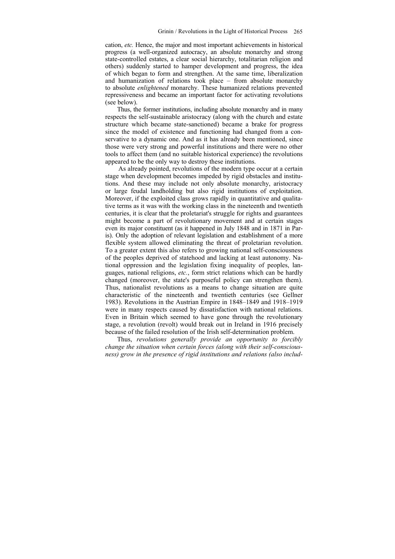cation, *etc.* Hence, the major and most important achievements in historical progress (a well-organized autocracy, an absolute monarchy and strong state-controlled estates, a clear social hierarchy, totalitarian religion and others) suddenly started to hamper development and progress, the idea of which began to form and strengthen. At the same time, liberalization and humanization of relations took place – from absolute monarchy to absolute *enlightened* monarchy. These humanized relations prevented repressiveness and became an important factor for activating revolutions (see below).

Thus, the former institutions, including absolute monarchy and in many respects the self-sustainable aristocracy (along with the church and estate structure which became state-sanctioned) became a brake for progress since the model of existence and functioning had changed from a conservative to a dynamic one. And as it has already been mentioned, since those were very strong and powerful institutions and there were no other tools to affect them (and no suitable historical experience) the revolutions appeared to be the only way to destroy these institutions.

As already pointed, revolutions of the modern type occur at a certain stage when development becomes impeded by rigid obstacles and institutions. And these may include not only absolute monarchy, aristocracy or large feudal landholding but also rigid institutions of exploitation. Moreover, if the exploited class grows rapidly in quantitative and qualitative terms as it was with the working class in the nineteenth and twentieth centuries, it is clear that the proletariat's struggle for rights and guarantees might become a part of revolutionary movement and at certain stages even its major constituent (as it happened in July 1848 and in 1871 in Paris). Only the adoption of relevant legislation and establishment of a more flexible system allowed eliminating the threat of proletarian revolution. To a greater extent this also refers to growing national self-consciousness of the peoples deprived of statehood and lacking at least autonomy. National oppression and the legislation fixing inequality of peoples, languages, national religions, *etc.*, form strict relations which can be hardly changed (moreover, the state's purposeful policy can strengthen them). Thus, nationalist revolutions as a means to change situation are quite characteristic of the nineteenth and twentieth centuries (see Gellner 1983). Revolutions in the Austrian Empire in 1848–1849 and 1918–1919 were in many respects caused by dissatisfaction with national relations. Even in Britain which seemed to have gone through the revolutionary stage, a revolution (revolt) would break out in Ireland in 1916 precisely because of the failed resolution of the Irish self-determination problem.

Thus, *revolutions generally provide an opportunity to forcibly change the situation when certain forces (along with their self-consciousness) grow in the presence of rigid institutions and relations (also includ-*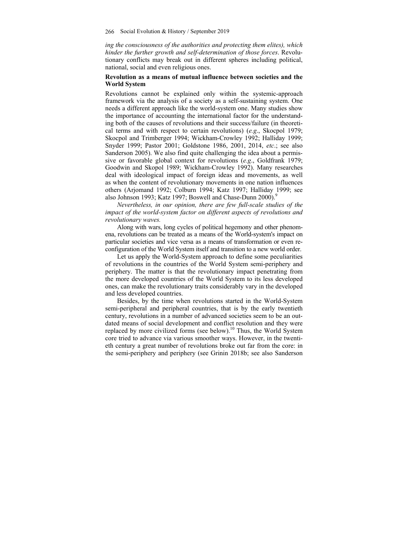*ing the consciousness of the authorities and protecting them elites), which hinder the further growth and self-determination of those forces*. Revolutionary conflicts may break out in different spheres including political, national, social and even religious ones.

## **Revolution as a means of mutual influence between societies and the World System**

Revolutions cannot be explained only within the systemic-approach framework via the analysis of a society as a self-sustaining system. One needs a different approach like the world-system one. Many studies show the importance of accounting the international factor for the understanding both of the causes of revolutions and their success/failure (in theoretical terms and with respect to certain revolutions) (*e.g*., Skocpol 1979; Skocpol and Trimberger 1994; Wickham-Crowley 1992; Halliday 1999; Snyder 1999; Pastor 2001; Goldstone 1986, 2001, 2014, *etc*.; see also Sanderson 2005). We also find quite challenging the idea about a permissive or favorable global context for revolutions (*e.g*., Goldfrank 1979; Goodwin and Skopol 1989; Wickham-Crowley 1992). Many researches deal with ideological impact of foreign ideas and movements, as well as when the content of revolutionary movements in one nation influences others (Arjomand 1992; Colburn 1994; Katz 1997; Halliday 1999; see also Johnson 1993; Katz 1997; Boswell and Chase-Dunn 2000).

*Nevertheless, in our opinion, there are few full-scale studies of the impact of the world-system factor on different aspects of revolutions and revolutionary waves.*

Along with wars, long cycles of political hegemony and other phenomena, revolutions can be treated as a means of the World-system's impact on particular societies and vice versa as a means of transformation or even reconfiguration of the World System itself and transition to a new world order.

Let us apply the World-System approach to define some peculiarities of revolutions in the countries of the World System semi-periphery and periphery. The matter is that the revolutionary impact penetrating from the more developed countries of the World System to its less developed ones, can make the revolutionary traits considerably vary in the developed and less developed countries.

Besides, by the time when revolutions started in the World-System semi-peripheral and peripheral countries, that is by the early twentieth century, revolutions in a number of advanced societies seem to be an outdated means of social development and conflict resolution and they were replaced by more civilized forms (see below).<sup>10</sup> Thus, the World System core tried to advance via various smoother ways. However, in the twentieth century a great number of revolutions broke out far from the core: in the semi-periphery and periphery (see Grinin 2018b; see also Sanderson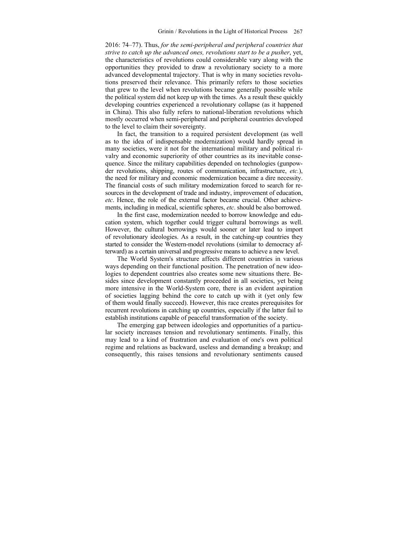2016: 74–77). Thus, *for the semi-peripheral and peripheral countries that strive to catch up the advanced ones, revolutions start to be a pusher*, yet, the characteristics of revolutions could considerable vary along with the opportunities they provided to draw a revolutionary society to a more advanced developmental trajectory. That is why in many societies revolutions preserved their relevance. This primarily refers to those societies that grew to the level when revolutions became generally possible while the political system did not keep up with the times. As a result these quickly developing countries experienced a revolutionary collapse (as it happened in China). This also fully refers to national-liberation revolutions which mostly occurred when semi-peripheral and peripheral countries developed to the level to claim their sovereignty.

In fact, the transition to a required persistent development (as well as to the idea of indispensable modernization) would hardly spread in many societies, were it not for the international military and political rivalry and economic superiority of other countries as its inevitable consequence. Since the military capabilities depended on technologies (gunpowder revolutions, shipping, routes of communication, infrastructure, *etc.*), the need for military and economic modernization became a dire necessity. The financial costs of such military modernization forced to search for resources in the development of trade and industry, improvement of education, *etc*. Hence, the role of the external factor became crucial. Other achievements, including in medical, scientific spheres, *etc*. should be also borrowed.

In the first case, modernization needed to borrow knowledge and education system, which together could trigger cultural borrowings as well. However, the cultural borrowings would sooner or later lead to import of revolutionary ideologies. As a result, in the catching-up countries they started to consider the Western-model revolutions (similar to democracy afterward) as a certain universal and progressive means to achieve a new level.

The World System's structure affects different countries in various ways depending on their functional position. The penetration of new ideologies to dependent countries also creates some new situations there. Besides since development constantly proceeded in all societies, yet being more intensive in the World-System core, there is an evident aspiration of societies lagging behind the core to catch up with it (yet only few of them would finally succeed). However, this race creates prerequisites for recurrent revolutions in catching up countries, especially if the latter fail to establish institutions capable of peaceful transformation of the society.

The emerging gap between ideologies and opportunities of a particular society increases tension and revolutionary sentiments. Finally, this may lead to a kind of frustration and evaluation of one's own political regime and relations as backward, useless and demanding a breakup; and consequently, this raises tensions and revolutionary sentiments caused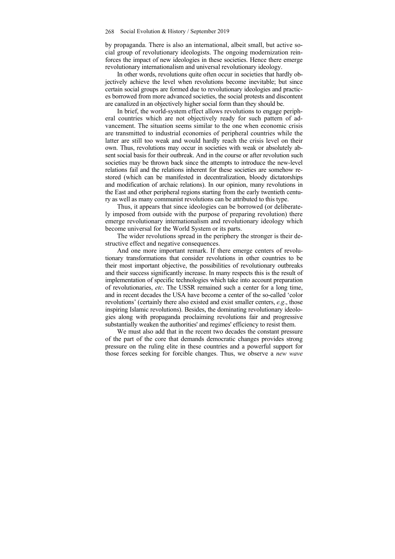by propaganda. There is also an international, albeit small, but active social group of revolutionary ideologists. The ongoing modernization reinforces the impact of new ideologies in these societies. Hence there emerge revolutionary internationalism and universal revolutionary ideology.

In other words, revolutions quite often occur in societies that hardly objectively achieve the level when revolutions become inevitable; but since certain social groups are formed due to revolutionary ideologies and practices borrowed from more advanced societies, the social protests and discontent are canalized in an objectively higher social form than they should be.

In brief, the world-system effect allows revolutions to engage peripheral countries which are not objectively ready for such pattern of advancement. The situation seems similar to the one when economic crisis are transmitted to industrial economies of peripheral countries while the latter are still too weak and would hardly reach the crisis level on their own. Thus, revolutions may occur in societies with weak or absolutely absent social basis for their outbreak. And in the course or after revolution such societies may be thrown back since the attempts to introduce the new-level relations fail and the relations inherent for these societies are somehow restored (which can be manifested in decentralization, bloody dictatorships and modification of archaic relations). In our opinion, many revolutions in the East and other peripheral regions starting from the early twentieth century as well as many communist revolutions can be attributed to this type.

Thus, it appears that since ideologies can be borrowed (or deliberately imposed from outside with the purpose of preparing revolution) there emerge revolutionary internationalism and revolutionary ideology which become universal for the World System or its parts.

The wider revolutions spread in the periphery the stronger is their destructive effect and negative consequences.

And one more important remark. If there emerge centers of revolutionary transformations that consider revolutions in other countries to be their most important objective, the possibilities of revolutionary outbreaks and their success significantly increase. In many respects this is the result of implementation of specific technologies which take into account preparation of revolutionaries, *etc*. The USSR remained such a center for a long time, and in recent decades the USA have become a center of the so-called 'color revolutions' (certainly there also existed and exist smaller centers, *e.g*., those inspiring Islamic revolutions). Besides, the dominating revolutionary ideologies along with propaganda proclaiming revolutions fair and progressive substantially weaken the authorities' and regimes' efficiency to resist them.

We must also add that in the recent two decades the constant pressure of the part of the core that demands democratic changes provides strong pressure on the ruling elite in these countries and a powerful support for those forces seeking for forcible changes. Thus, we observe a *new wave*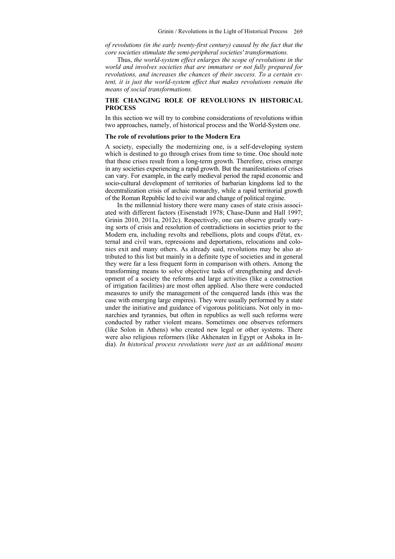*of revolutions (in the early twenty-first century) caused by the fact that the core societies stimulate the semi-peripheral societies' transformations.* 

Thus, *the world-system effect enlarges the scope of revolutions in the world and involves societies that are immature or not fully prepared for revolutions, and increases the chances of their success. To a certain extent, it is just the world-system effect that makes revolutions remain the means of social transformations.* 

## **THE CHANGING ROLE OF REVOLUIONS IN HISTORICAL PROCESS**

In this section we will try to combine considerations of revolutions within two approaches, namely, of historical process and the World-System one.

#### **The role of revolutions prior to the Modern Era**

A society, especially the modernizing one, is a self-developing system which is destined to go through crises from time to time. One should note that these crises result from a long-term growth. Therefore, crises emerge in any societies experiencing a rapid growth. But the manifestations of crises can vary. For example, in the early medieval period the rapid economic and socio-cultural development of territories of barbarian kingdoms led to the decentralization crisis of archaic monarchy, while a rapid territorial growth of the Roman Republic led to civil war and change of political regime.

In the millennial history there were many cases of state crisis associated with different factors (Eisenstadt 1978; Chase-Dunn and Hall 1997; Grinin 2010, 2011a, 2012c). Respectively, one can observe greatly varying sorts of crisis and resolution of contradictions in societies prior to the Modern era, including revolts and rebellions, plots and coups d'état, external and civil wars, repressions and deportations, relocations and colonies exit and many others. As already said, revolutions may be also attributed to this list but mainly in a definite type of societies and in general they were far a less frequent form in comparison with others. Among the transforming means to solve objective tasks of strengthening and development of a society the reforms and large activities (like a construction of irrigation facilities) are most often applied. Also there were conducted measures to unify the management of the conquered lands (this was the case with emerging large empires). They were usually performed by a state under the initiative and guidance of vigorous politicians. Not only in monarchies and tyrannies, but often in republics as well such reforms were conducted by rather violent means. Sometimes one observes reformers (like Solon in Athens) who created new legal or other systems. There were also religious reformers (like Akhenaten in Egypt or Ashoka in India). *In historical process revolutions were just as an additional means*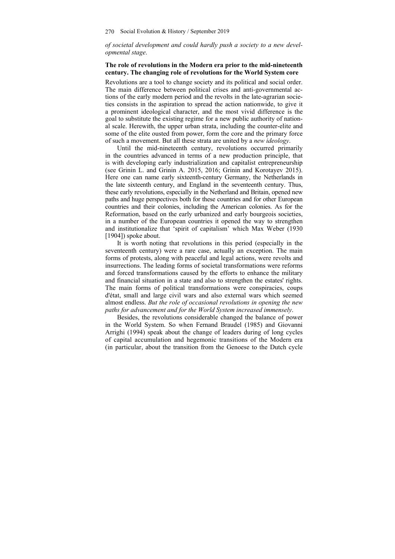## *of societal development and could hardly push a society to a new developmental stage*.

#### **The role of revolutions in the Modern era prior to the mid-nineteenth century. The changing role of revolutions for the World System core**

Revolutions are a tool to change society and its political and social order. The main difference between political crises and anti-governmental actions of the early modern period and the revolts in the late-agrarian societies consists in the aspiration to spread the action nationwide, to give it a prominent ideological character, and the most vivid difference is the goal to substitute the existing regime for a new public authority of national scale. Herewith, the upper urban strata, including the counter-elite and some of the elite ousted from power, form the core and the primary force of such a movement. But all these strata are united by a *new ideology*.

Until the mid-nineteenth century, revolutions occurred primarily in the countries advanced in terms of a new production principle, that is with developing early industrialization and capitalist entrepreneurship (see Grinin L. and Grinin A. 2015, 2016; Grinin and Korotayev 2015). Here one can name early sixteenth-century Germany, the Netherlands in the late sixteenth century, and England in the seventeenth century. Thus, these early revolutions, especially in the Netherland and Britain, opened new paths and huge perspectives both for these countries and for other European countries and their colonies, including the American colonies. As for the Reformation, based on the early urbanized and early bourgeois societies, in a number of the European countries it opened the way to strengthen and institutionalize that 'spirit of capitalism' which Max Weber (1930 [1904]) spoke about.

It is worth noting that revolutions in this period (especially in the seventeenth century) were a rare case, actually an exception. The main forms of protests, along with peaceful and legal actions, were revolts and insurrections. The leading forms of societal transformations were reforms and forced transformations caused by the efforts to enhance the military and financial situation in a state and also to strengthen the estates' rights. The main forms of political transformations were conspiracies, coups d'état, small and large civil wars and also external wars which seemed almost endless. *But the role of occasional revolutions in opening the new paths for advancement and for the World System increased immensely*.

Besides, the revolutions considerable changed the balance of power in the World System. So when Fernand Braudel (1985) and Giovanni Arrighi (1994) speak about the change of leaders during of long cycles of capital accumulation and hegemonic transitions of the Modern era (in particular, about the transition from the Genoese to the Dutch cycle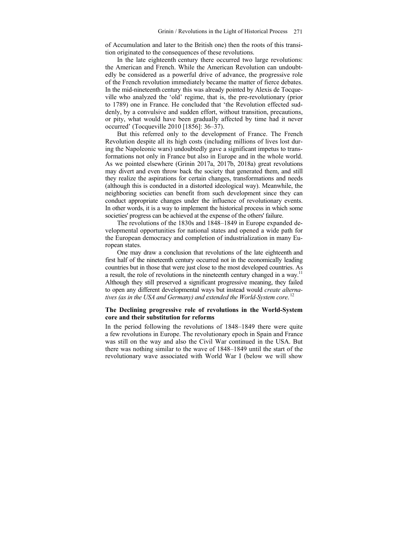of Accumulation and later to the British one) then the roots of this transition originated to the consequences of these revolutions.

In the late eighteenth century there occurred two large revolutions: the American and French. While the American Revolution can undoubtedly be considered as a powerful drive of advance, the progressive role of the French revolution immediately became the matter of fierce debates. In the mid-nineteenth century this was already pointed by Alexis de Tocqueville who analyzed the 'old' regime, that is, the pre-revolutionary (prior to 1789) one in France. He concluded that 'the Revolution effected suddenly, by a convulsive and sudden effort, without transition, precautions, or pity, what would have been gradually affected by time had it never occurred' (Tocqueville 2010 [1856]: 36–37).

But this referred only to the development of France. The French Revolution despite all its high costs (including millions of lives lost during the Napoleonic wars) undoubtedly gave a significant impetus to transformations not only in France but also in Europe and in the whole world. As we pointed elsewhere (Grinin 2017a, 2017b, 2018a) great revolutions may divert and even throw back the society that generated them, and still they realize the aspirations for certain changes, transformations and needs (although this is conducted in a distorted ideological way). Meanwhile, the neighboring societies can benefit from such development since they can conduct appropriate changes under the influence of revolutionary events. In other words, it is a way to implement the historical process in which some societies' progress can be achieved at the expense of the others' failure.

The revolutions of the 1830s and 1848–1849 in Europe expanded developmental opportunities for national states and opened a wide path for the European democracy and completion of industrialization in many European states.

One may draw a conclusion that revolutions of the late eighteenth and first half of the nineteenth century occurred not in the economically leading countries but in those that were just close to the most developed countries. As a result, the role of revolutions in the nineteenth century changed in a way.<sup>11</sup> Although they still preserved a significant progressive meaning, they failed to open any different developmental ways but instead would *create alternatives (as in the USA and Germany) and extended the World-System core*. 12

#### **The Declining progressive role of revolutions in the World-System core and their substitution for reforms**

In the period following the revolutions of 1848–1849 there were quite a few revolutions in Europe. The revolutionary epoch in Spain and France was still on the way and also the Civil War continued in the USA. But there was nothing similar to the wave of 1848–1849 until the start of the revolutionary wave associated with World War I (below we will show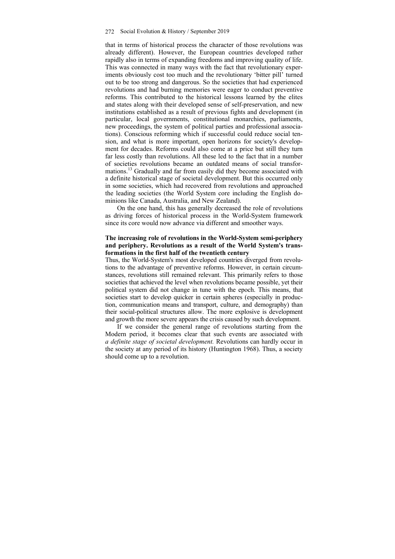that in terms of historical process the character of those revolutions was already different). However, the European countries developed rather rapidly also in terms of expanding freedoms and improving quality of life. This was connected in many ways with the fact that revolutionary experiments obviously cost too much and the revolutionary 'bitter pill' turned out to be too strong and dangerous. So the societies that had experienced revolutions and had burning memories were eager to conduct preventive reforms. This contributed to the historical lessons learned by the elites and states along with their developed sense of self-preservation, and new institutions established as a result of previous fights and development (in particular, local governments, constitutional monarchies, parliaments, new proceedings, the system of political parties and professional associations). Conscious reforming which if successful could reduce social tension, and what is more important, open horizons for society's development for decades. Reforms could also come at a price but still they turn far less costly than revolutions. All these led to the fact that in a number of societies revolutions became an outdated means of social transformations.<sup>13</sup> Gradually and far from easily did they become associated with a definite historical stage of societal development. But this occurred only in some societies, which had recovered from revolutions and approached the leading societies (the World System core including the English dominions like Canada, Australia, and New Zealand).

On the one hand, this has generally decreased the role of revolutions as driving forces of historical process in the World-System framework since its core would now advance via different and smoother ways.

#### **The increasing role of revolutions in the World-System semi-periphery and periphery. Revolutions as a result of the World System's transformations in the first half of the twentieth century**

Thus, the World-System's most developed countries diverged from revolutions to the advantage of preventive reforms. However, in certain circumstances, revolutions still remained relevant. This primarily refers to those societies that achieved the level when revolutions became possible, yet their political system did not change in tune with the epoch. This means, that societies start to develop quicker in certain spheres (especially in production, communication means and transport, culture, and demography) than their social-political structures allow. The more explosive is development and growth the more severe appears the crisis caused by such development.

If we consider the general range of revolutions starting from the Modern period, it becomes clear that such events are associated with *a definite stage of societal development.* Revolutions can hardly occur in the society at any period of its history (Huntington 1968). Thus, a society should come up to a revolution.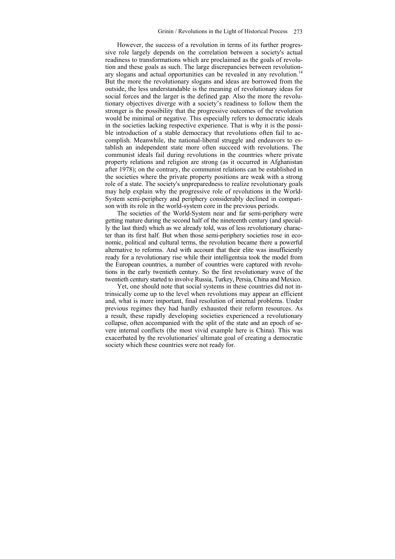However, the success of a revolution in terms of its further progressive role largely depends on the correlation between a society's actual readiness to transformations which are proclaimed as the goals of revolution and these goals as such. The large discrepancies between revolutionary slogans and actual opportunities can be revealed in any revolution.<sup>14</sup> But the more the revolutionary slogans and ideas are borrowed from the outside, the less understandable is the meaning of revolutionary ideas for social forces and the larger is the defined gap. Also the more the revolutionary objectives diverge with a society's readiness to follow them the stronger is the possibility that the progressive outcomes of the revolution would be minimal or negative. This especially refers to democratic ideals in the societies lacking respective experience. That is why it is the possible introduction of a stable democracy that revolutions often fail to accomplish. Meanwhile, the national-liberal struggle and endeavors to establish an independent state more often succeed with revolutions. The communist ideals fail during revolutions in the countries where private property relations and religion are strong (as it occurred in Afghanistan after 1978); on the contrary, the communist relations can be established in the societies where the private property positions are weak with a strong role of a state. The society's unpreparedness to realize revolutionary goals may help explain why the progressive role of revolutions in the World-System semi-periphery and periphery considerably declined in comparison with its role in the world-system core in the previous periods.

The societies of the World-System near and far semi-periphery were getting mature during the second half of the nineteenth century (and specially the last third) which as we already told, was of less revolutionary character than its first half. But when those semi-periphery societies rose in economic, political and cultural terms, the revolution became there a powerful alternative to reforms. And with account that their elite was insufficiently ready for a revolutionary rise while their intelligentsia took the model from the European countries, a number of countries were captured with revolutions in the early twentieth century. So the first revolutionary wave of the twentieth century started to involve Russia, Turkey, Persia, China and Mexico.

Yet, one should note that social systems in these countries did not intrinsically come up to the level when revolutions may appear an efficient and, what is more important, final resolution of internal problems. Under previous regimes they had hardly exhausted their reform resources. As a result, these rapidly developing societies experienced a revolutionary collapse, often accompanied with the split of the state and an epoch of severe internal conflicts (the most vivid example here is China). This was exacerbated by the revolutionaries' ultimate goal of creating a democratic society which these countries were not ready for.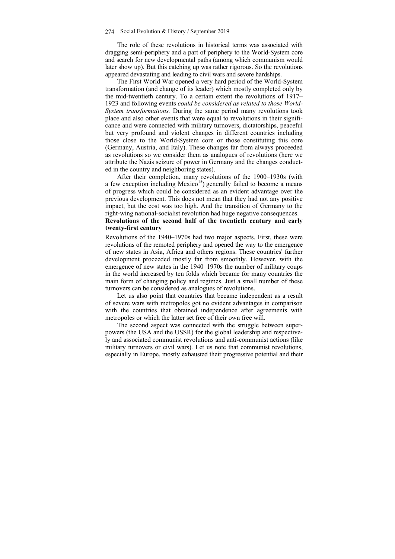The role of these revolutions in historical terms was associated with dragging semi-periphery and a part of periphery to the World-System core and search for new developmental paths (among which communism would later show up). But this catching up was rather rigorous. So the revolutions appeared devastating and leading to civil wars and severe hardships.

The First World War opened a very hard period of the World-System transformation (and change of its leader) which mostly completed only by the mid-twentieth century. To a certain extent the revolutions of 1917– 1923 and following events *could be considered as related to those World-System transformations.* During the same period many revolutions took place and also other events that were equal to revolutions in their significance and were connected with military turnovers, dictatorships, peaceful but very profound and violent changes in different countries including those close to the World-System core or those constituting this core (Germany, Austria, and Italy). These changes far from always proceeded as revolutions so we consider them as analogues of revolutions (here we attribute the Nazis seizure of power in Germany and the changes conducted in the country and neighboring states).

After their completion, many revolutions of the 1900–1930s (with a few exception including  $Mexico<sup>15</sup>$  generally failed to become a means of progress which could be considered as an evident advantage over the previous development. This does not mean that they had not any positive impact, but the cost was too high. And the transition of Germany to the right-wing national-socialist revolution had huge negative consequences.

#### **Revolutions of the second half of the twentieth century and early twenty-first century**

Revolutions of the 1940–1970s had two major aspects. First, these were revolutions of the remoted periphery and opened the way to the emergence of new states in Asia, Africa and others regions. These countries' further development proceeded mostly far from smoothly. However, with the emergence of new states in the 1940–1970s the number of military coups in the world increased by ten folds which became for many countries the main form of changing policy and regimes. Just a small number of these turnovers can be considered as analogues of revolutions.

Let us also point that countries that became independent as a result of severe wars with metropoles got no evident advantages in comparison with the countries that obtained independence after agreements with metropoles or which the latter set free of their own free will.

The second aspect was connected with the struggle between superpowers (the USA and the USSR) for the global leadership and respectively and associated communist revolutions and anti-communist actions (like military turnovers or civil wars). Let us note that communist revolutions, especially in Europe, mostly exhausted their progressive potential and their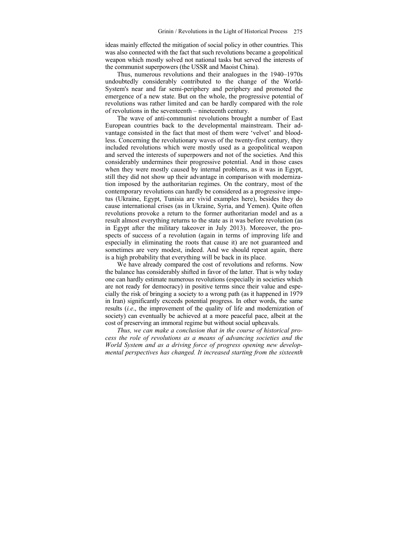ideas mainly effected the mitigation of social policy in other countries. This was also connected with the fact that such revolutions became a geopolitical weapon which mostly solved not national tasks but served the interests of the communist superpowers (the USSR and Maoist China).

Thus, numerous revolutions and their analogues in the 1940–1970s undoubtedly considerably contributed to the change of the World-System's near and far semi-periphery and periphery and promoted the emergence of a new state. But on the whole, the progressive potential of revolutions was rather limited and can be hardly compared with the role of revolutions in the seventeenth – nineteenth century.

The wave of anti-communist revolutions brought a number of East European countries back to the developmental mainstream. Their advantage consisted in the fact that most of them were 'velvet' and bloodless. Concerning the revolutionary waves of the twenty-first century, they included revolutions which were mostly used as a geopolitical weapon and served the interests of superpowers and not of the societies. And this considerably undermines their progressive potential. And in those cases when they were mostly caused by internal problems, as it was in Egypt, still they did not show up their advantage in comparison with modernization imposed by the authoritarian regimes. On the contrary, most of the contemporary revolutions can hardly be considered as a progressive impetus (Ukraine, Egypt, Tunisia are vivid examples here), besides they do cause international crises (as in Ukraine, Syria, and Yemen). Quite often revolutions provoke a return to the former authoritarian model and as a result almost everything returns to the state as it was before revolution (as in Egypt after the military takeover in July 2013). Moreover, the prospects of success of a revolution (again in terms of improving life and especially in eliminating the roots that cause it) are not guaranteed and sometimes are very modest, indeed. And we should repeat again, there is a high probability that everything will be back in its place.

We have already compared the cost of revolutions and reforms. Now the balance has considerably shifted in favor of the latter. That is why today one can hardly estimate numerous revolutions (especially in societies which are not ready for democracy) in positive terms since their value and especially the risk of bringing a society to a wrong path (as it happened in 1979 in Iran) significantly exceeds potential progress. In other words, the same results (*i.e*., the improvement of the quality of life and modernization of society) can eventually be achieved at a more peaceful pace, albeit at the cost of preserving an immoral regime but without social upheavals.

*Thus, we can make a conclusion that in the course of historical process the role of revolutions as a means of advancing societies and the World System and as a driving force of progress opening new developmental perspectives has changed. It increased starting from the sixteenth*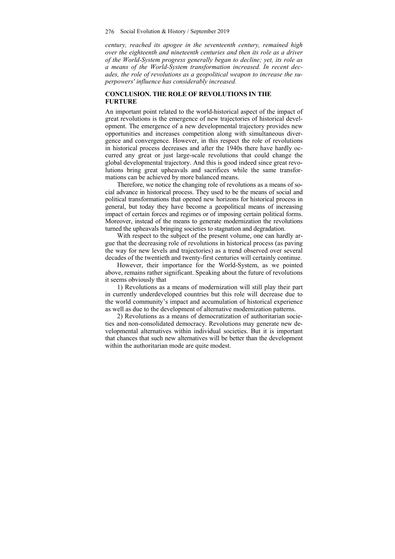*century, reached its apogee in the seventeenth century, remained high over the eighteenth and nineteenth centuries and then its role as a driver of the World-System progress generally began to decline; yet, its role as a means of the World-System transformation increased. In recent decades, the role of revolutions as a geopolitical weapon to increase the superpowers' influence has considerably increased.* 

#### **CONCLUSION. THE ROLE OF REVOLUTIONS IN THE FURTURE**

An important point related to the world-historical aspect of the impact of great revolutions is the emergence of new trajectories of historical development. The emergence of a new developmental trajectory provides new opportunities and increases competition along with simultaneous divergence and convergence. However, in this respect the role of revolutions in historical process decreases and after the 1940s there have hardly occurred any great or just large-scale revolutions that could change the global developmental trajectory. And this is good indeed since great revolutions bring great upheavals and sacrifices while the same transformations can be achieved by more balanced means.

Therefore, we notice the changing role of revolutions as a means of social advance in historical process. They used to be the means of social and political transformations that opened new horizons for historical process in general, but today they have become a geopolitical means of increasing impact of certain forces and regimes or of imposing certain political forms. Moreover, instead of the means to generate modernization the revolutions turned the upheavals bringing societies to stagnation and degradation.

With respect to the subject of the present volume, one can hardly argue that the decreasing role of revolutions in historical process (as paving the way for new levels and trajectories) as a trend observed over several decades of the twentieth and twenty-first centuries will certainly continue.

However, their importance for the World-System, as we pointed above, remains rather significant. Speaking about the future of revolutions it seems obviously that

1) Revolutions as a means of modernization will still play their part in currently underdeveloped countries but this role will decrease due to the world community's impact and accumulation of historical experience as well as due to the development of alternative modernization patterns.

2) Revolutions as a means of democratization of authoritarian societies and non-consolidated democracy. Revolutions may generate new developmental alternatives within individual societies. But it is important that chances that such new alternatives will be better than the development within the authoritarian mode are quite modest.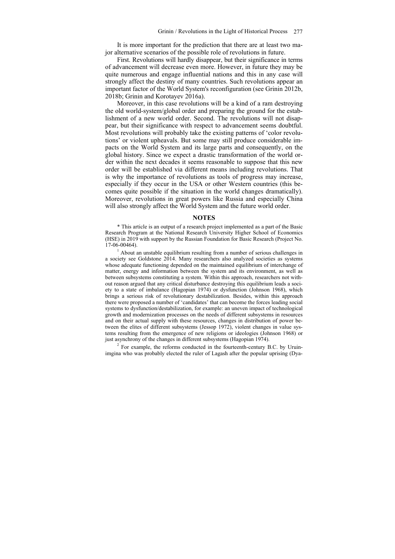It is more important for the prediction that there are at least two major alternative scenarios of the possible role of revolutions in future.

First. Revolutions will hardly disappear, but their significance in terms of advancement will decrease even more. However, in future they may be quite numerous and engage influential nations and this in any case will strongly affect the destiny of many countries. Such revolutions appear an important factor of the World System's reconfiguration (see Grinin 2012b, 2018b; Grinin and Korotayev 2016a).

Moreover, in this case revolutions will be a kind of a ram destroying the old world-system/global order and preparing the ground for the establishment of a new world order. Second. The revolutions will not disappear, but their significance with respect to advancement seems doubtful. Most revolutions will probably take the existing patterns of 'color revolutions' or violent upheavals. But some may still produce considerable impacts on the World System and its large parts and consequently, on the global history. Since we expect a drastic transformation of the world order within the next decades it seems reasonable to suppose that this new order will be established via different means including revolutions. That is why the importance of revolutions as tools of progress may increase, especially if they occur in the USA or other Western countries (this becomes quite possible if the situation in the world changes dramatically). Moreover, revolutions in great powers like Russia and especially China will also strongly affect the World System and the future world order.

#### **NOTES**

\* This article is an output of a research project implemented as a part of the Basic Research Program at the National Research University Higher School of Economics (HSE) in 2019 with support by the Russian Foundation for Basic Research (Project No. 17-06-00464). 1

<sup>1</sup> About an unstable equilibrium resulting from a number of serious challenges in a society see Goldstone 2014. Many researchers also analyzed societies as systems whose adequate functioning depended on the maintained equilibrium of interchange of matter, energy and information between the system and its environment, as well as between subsystems constituting a system. Within this approach, researchers not without reason argued that any critical disturbance destroying this equilibrium leads a society to a state of imbalance (Hagopian 1974) or dysfunction (Johnson 1968), which brings a serious risk of revolutionary destabilization. Besides, within this approach there were proposed a number of 'candidates' that can become the forces leading social systems to dysfunction/destabilization, for example: an uneven impact of technological growth and modernization processes on the needs of different subsystems in resources and on their actual supply with these resources, changes in distribution of power between the elites of different subsystems (Jessop 1972), violent changes in value systems resulting from the emergence of new religions or ideologies (Johnson 1968) or just asynchrony of the changes in different subsystems (Hagopian 1974).

 $2$  For example, the reforms conducted in the fourteenth-century B.C. by Uruinimgina who was probably elected the ruler of Lagash after the popular uprising (Dya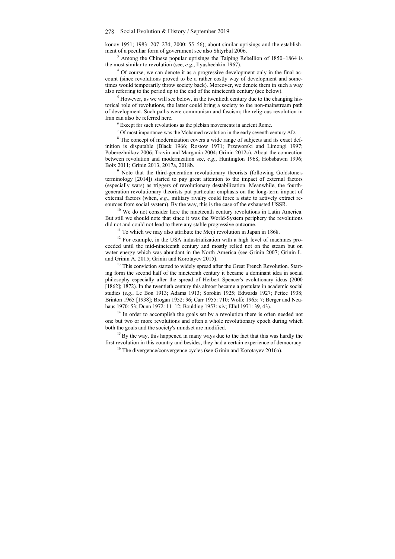konov 1951; 1983: 207–274; 2000: 55–56); about similar uprisings and the establishment of a peculiar form of government see also Shtyrbul 2006.

<sup>3</sup> Among the Chinese popular uprisings the Taiping Rebellion of 1850–1864 is the most similar to revolution (see, *e.g*., Ilyushechkin 1967). 4

<sup>4</sup> Of course, we can denote it as a progressive development only in the final account (since revolutions proved to be a rather costly way of development and sometimes would temporarily throw society back). Moreover, we denote them in such a way also referring to the period up to the end of the nineteenth century (see below).

 $<sup>5</sup>$  However, as we will see below, in the twentieth century due to the changing his-</sup> torical role of revolutions, the latter could bring a society to the non-mainstream path of development. Such paths were communism and fascism; the religious revolution in Iran can also be referred here.

 $6$  Except for such revolutions as the plebian movements in ancient Rome.

Of most importance was the Mohamed revolution in the early seventh century AD.

<sup>8</sup> The concept of modernization covers a wide range of subjects and its exact definition is disputable (Black 1966; Rostow 1971; Przeworski and Limongi 1997; Poberezhnikov 2006; Travin and Margania 2004; Grinin 2012c). About the connection between revolution and modernization see, *e.g*., Huntington 1968; Hobsbawm 1996; Boix 2011; Grinin 2013, 2017a, 2018b. 9

<sup>9</sup> Note that the third-generation revolutionary theorists (following Goldstone's terminology [2014]) started to pay great attention to the impact of external factors (especially wars) as triggers of revolutionary destabilization. Meanwhile, the fourthgeneration revolutionary theorists put particular emphasis on the long-term impact of external factors (when, *e.g.*, military rivalry could force a state to actively extract resources from social system). By the way, this is the case of the exhausted USSR.  $10^{10}$  We do not consider here the nineteenth century revolutions in Latin America.

But still we should note that since it was the World-System periphery the revolutions did not and could not lead to there any stable progressive outcome.<br><sup>11</sup> To which we may also attribute the Meiji revolution in Japan in 1868.

 $12$  For example, in the USA industrialization with a high level of machines proceeded until the mid-nineteenth century and mostly relied not on the steam but on water energy which was abundant in the North America (see Grinin 2007; Grinin L. and Grinin A. 2015; Grinin and Korotayev 2015). <sup>13</sup> This conviction started to widely spread after the Great French Revolution. Start-

ing form the second half of the nineteenth century it became a dominant idea in social philosophy especially after the spread of Herbert Spencer's evolutionary ideas (2000 [1862]; 1872). In the twentieth century this almost became a postulate in academic social studies (*e.g*., Le Bon 1913; Adams 1913; Sorokin 1925; Edwards 1927; Pettee 1938; Brinton 1965 [1938]; Brogan 1952: 96; Carr 1955: 710; Wolfe 1965: 7; Berger and Neuhaus 1970: 53; Dunn 1972: 11–12; Boulding 1953: xiv; Ellul 1971: 39, 43). <sup>14</sup> In order to accomplish the goals set by a revolution there is often needed not

one but two or more revolutions and often a whole revolutionary epoch during which both the goals and the society's mindset are modified.<br><sup>15</sup> By the way, this happened in many ways due to the fact that this was hardly the

first revolution in this country and besides, they had a certain experience of democracy. 16 The divergence/convergence cycles (see Grinin and Korotayev 2016a).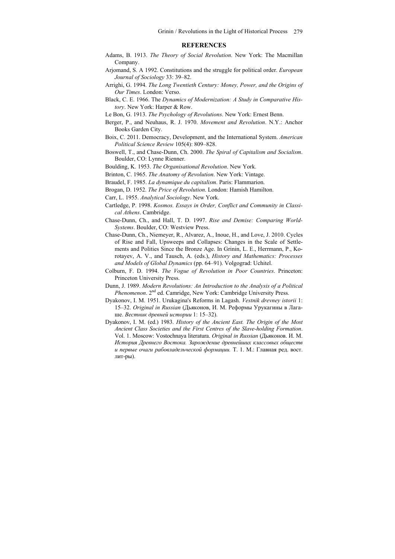#### **REFERENCES**

- Adams, B. 1913. *The Theory of Social Revolution*. New York: The Macmillan Company.
- Arjomand, S. A 1992. Constitutions and the struggle for political order. *European Journal of Sociology* 33: 39–82.
- Arrighi, G. 1994. *The Long Twentieth Century: Money, Power, and the Origins of Our Times*. London: Verso.
- Black, C. E. 1966. The *Dynamics of Modernization: A Study in Comparative History*. New York: Harper & Row.
- Le Bon, G. 1913. *The Psychology of Revolutions*. New York: Ernest Benn.
- Berger, P., and Neuhaus, R. J. 1970. *Movement and Revolution*. N.Y.: Anchor Books Garden City.
- Boix, С. 2011. Democracy, Development, and the International System. *American Political Science Review* 105(4): 809–828.
- Boswell, T., and Chase-Dunn, Ch. 2000. *The Spiral of Capitalism and Socialism*. Boulder, CO: Lynne Rienner.
- Boulding, K. 1953. *The Organisational Revolution*. New York.
- Brinton, C. 1965. *The Anatomy of Revolution*. New York: Vintage.
- Braudel, F. 1985. *La dynamique du capitalism*. Paris: Flammarion.
- Brogan, D. 1952. *The Price of Revolution*. London: Hamish Hamilton.
- Carr, L. 1955. *Analytical Sociology*. New York.
- Cartledge, P. 1998. *Kosmos. Essays in Order, Conflict and Community in Classical Athens*. Cambridge.
- Chase-Dunn, Ch., and Hall, T. D. 1997. *Rise and Demise: Comparing World-Systems*. Boulder, CO: Westview Press.
- Chase-Dunn, Ch., Niemeyer, R., Alvarez, A., Inoue, H., and Love, J. 2010. Cycles of Rise and Fall, Upsweeps and Collapses: Changes in the Scale of Settlements and Polities Since the Bronze Age. In Grinin, L. E., Herrmann, P., Korotayev, A. V., and Tausch, A. (eds.), *History and Mathematics: Processes and Models of Global Dynamics* (pp. 64–91). Volgograd: Uchitel.
- Colburn, F. D. 1994. *The Vogue of Revolution in Poor Countries*. Princeton: Princeton University Press.
- Dunn, J. 1989. *Modern Revolutions: An Introduction to the Analysis of a Political Phenomenon*. 2nd ed. Camridge, New York: Cambridge University Press.
- Dyakonov, I. M. 1951. Urukagina's Reforms in Lagash. *Vestnik drevney istorii* 1: 15–32. *Original in Russian* (Дьяконов, И. М. Реформы Урукагины в Лагаше. *Вестник древней истории* 1: 15–32).
- Dyakonov, I. M. (ed.) 1983. *History of the Ancient East. The Origin of the Most Ancient Class Societies and the First Centres of the Slave-holding Formation*. Vol. 1. Мoscow: Vostochnaya literatura. *Original in Russian* (Дьяконов. И. М. *История Древнего Востока. Зарождение древнейших классовых обществ и первые очаги рабовладельческой формации.* Т. 1. М.: Главная ред. вост. лит-ры).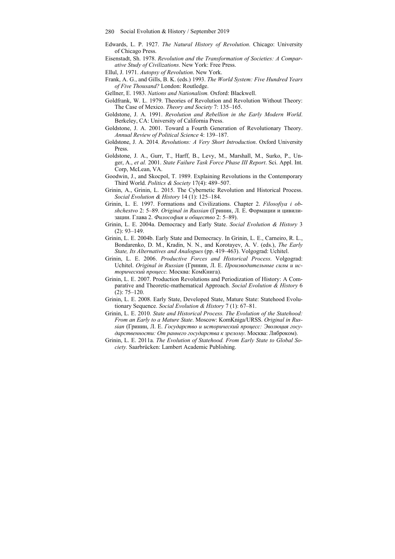- Edwards, L. P. 1927. *The Natural History of Revolution*. Chicago: University of Chicago Press.
- Eisenstadt, Sh. 1978. *Revolution and the Transformation of Societies: A Comparative Study of Civilizations*. New York: Free Press.

Ellul, J. 1971. *Autopsy of Revolution*. New York.

Frank, A. G., and Gills, B. K. (еds.) 1993. *The World System: Five Hundred Years of Five Thousand?* London: Routledge.

Gellner, E. 1983. *Nations and Nationalism.* Oxford: Blackwell.

- Goldfrank, W. L. 1979. Theories of Revolution and Revolution Without Theory: The Case of Mexico. *Theory and Society* 7: 135–165.
- Goldstone, J. A. 1991. *Revolution and Rebellion in the Early Modern World*. Berkeley, CA: University of California Press.
- Goldstone, J. A. 2001. Toward a Fourth Generation of Revolutionary Theory. *Annual Review of Political Science* 4: 139–187.
- Goldstone, J. A. 2014. *Revolutions: A Very Short Introduction*. Oxford University Press.
- Goldstone, J. A., Gurr, T., Harff, B., Levy, M., Marshall, M., Surko, P., Unger, A., *et al.* 2001. *State Failure Task Force Phase III Report*. Sci. Appl. Int. Corp, McLean, VA.
- Goodwin, J., and Skocpol, T. 1989. Explaining Revolutions in the Contemporary Third World. *Politics & Society* 17(4): 489–507.
- Grinin, A., Grinin, L. 2015. The Cybernetic Revolution and Historical Process. *Social Evolution & History* 14 (1): 125–184.
- Grinin, L. E. 1997. Formations and Civilizations. Chapter 2. *Filosofiya i obshchestvo* 2: 5–89. *Original in Russian* (Гринин, Л. Е. Формации и цивилизации. Глава 2. *Философия и общество* 2: 5–89).
- Grinin, L. E. 2004a. Democracy and Early State. *Social Evolution & History* 3 (2): 93–149.
- Grinin, L. E. 2004b. Early State and Democracy. In Grinin, L. E., Carneiro, R. L., Bondarenko, D. M., Kradin, N. N., and Korotayev, A. V. (eds.), *The Early State, Its Alternatives and Analogues* (pp. 419–463). Volgograd: Uchitel.
- Grinin, L. E. 2006. *Productive Forces and Historical Process*. Volgograd: Uchitel. *Original in Russian* (Гринин, Л. Е. *Производительные силы и исторический процесс.* Москва: КомКнига).
- Grinin, L. E. 2007. Production Revolutions and Periodization of History: A Comparative and Theoretic-mathematical Approach. *Social Evolution & History* 6 (2): 75–120.
- Grinin, L. E. 2008. Early State, Developed State, Mature State: Statehood Evolutionary Sequence. *Social Evolution & History* 7 (1): 67–81.
- Grinin, L. E. 2010. *State and Historical Process. The Evolution of the Statehood: From an Early to a Mature State*. Moscow: KomKniga/URSS. *Original in Russian* (Гринин, Л. Е. *Государство и исторический процесс: Эволюция государственности: От раннего государства к зрелому*. Москва: Либроком).
- Grinin, L. E. 2011a. *The Evolution of Statehood. From Early State to Global Society.* Saarbrücken: Lambert Academic Publishing.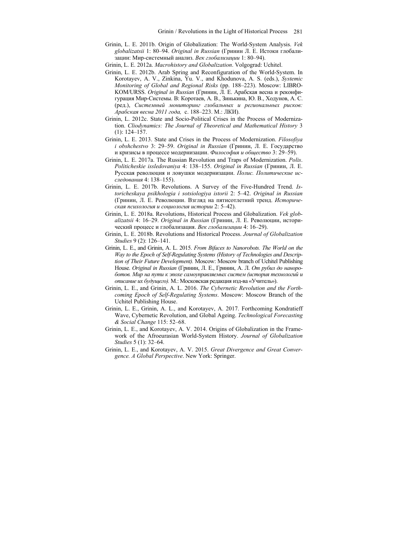- Grinin, L. E. 2011b. Origin of Globalization: The World-System Analysis. *Vek globalizatsii* 1: 80–94. *Original in Russian* (Гринин Л. Е. Истоки глобализации: Мир-системный анализ. *Век глобализации* 1: 80–94).
- Grinin, L. E. 2012a. *Macrohistory and Globalization*. Volgograd: Uchitel.
- Grinin, L. E. 2012b. Arab Spring and Reconfiguration of the World-System. In Korotayev, A. V., Zinkina, Yu. V., and Khodunova, A. S. (eds.), *Systemic Monitoring of Global and Regional Risks* (pp. 188–223). Moscow: LIBRO-KOM/URSS. *Original in Russian* (Гринин, Л. Е. Арабская весна и реконфигурация Мир-Системы. В: Коротаев, А. В., Зинькина, Ю. В., Ходунов, А. С. (ред.), *Системный мониторинг глобальных и региональных рисков: Арабская весна 2011 года,* c. 188–223. М.: ЛКИ).
- Grinin, L. 2012c. State and Socio-Political Crises in the Process of Modernization. *Cliodynamics: The Journal of Theoretical and Mathematical History* 3 (1): 124–157.
- Grinin, L. E. 2013. State and Crises in the Process of Modernization. *Filosofiya i obshchestvo* 3: 29–59. *Original in Russian* (Гринин, Л. Е. Государство и кризисы в процессе модернизации. *Философия и общество* 3: 29–59).
- Grinin, L. E. 2017a. The Russian Revolution and Traps of Modernization. *Polis*. *Politicheskie issledovaniya* 4: 138–155. *Original in Russian* (Гринин, Л. Е. Русская революция и ловушки модернизации. *Полис. Политические исследования* 4: 138–155).
- Grinin, L. E. 2017b. Revolutions. A Survey of the Five-Hundred Trend. *Istoricheskaya psikhologia i sotsiologiya istorii* 2: 5–42. *Original in Russian* (Гринин, Л. Е. Революции. Взгляд на пятисотлетний тренд. *Историческая психология и социология истории* 2: 5–42).
- Grinin, L. E. 2018a. Revolutions, Historical Process and Globalization. *Vek globalizatsii* 4: 16–29. *Original in Russian* (Гринин, Л. Е. Революции, исторический процесс и глобализация. *Век глобализации* 4: 16–29).
- Grinin, L. E. 2018b. Revolutions and Historical Process. *Journal of Globalization Studies* 9 (2): 126–141.
- Grinin, L. E., and Grinin, A. L. 2015. *From Bifaces to Nanorobots. The World on the Way to the Epoch of Self-Regulating Systems (History of Technologies and Description of Their Future Development).* Moscow: Moscow branch of Uchitel Publishing House. *Original in Russian* (Гринин, Л. Е., Гринин, А. Л. *От рубил до нанороботов. Мир на пути к эпохе самоуправляемых систем (история технологий и описание их будущего).* М.: Московская редакция изд-ва «Учитель»).
- Grinin, L. E., and Grinin, A. L. 2016. *The Cybernetic Revolution and the Forthcoming Epoch of Self-Regulating Systems*. Moscow: Moscow Branch of the Uchitel Publishing House.
- Grinin, L. E., Grinin, A. L., and Korotayev, A. 2017. Forthcoming Kondratieff Wave, Cybernetic Revolution, and Global Ageing. *Technological Forecasting & Social Change* 115: 52–68.
- Grinin, L. E., and Korotayev, A. V. 2014. Origins of Globalization in the Framework of the Afroeurasian World-System History. *Journal of Globalization Studies* 5 (1): 32–64.
- Grinin, L. E., and Korotayev, A. V. 2015. *Great Divergence and Great Convergence. A Global Perspective*. New York: Springer.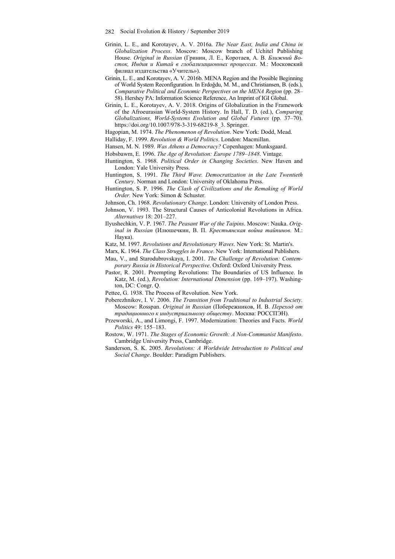- Grinin, L. E., and Korotayev, A. V. 2016а. *The Near East, India and China in Globalization Process*. Moscow: Moscow branch of Uchitel Publishing House. *Original in Russian* (Гринин, Л. Е., Коротаев, А. В. *Ближний Восток, Индия и Китай в глобализационных процессах*. М.: Московский филиал издательства «Учитель»).
- Grinin, L. E., and Korotayev, A. V. 2016b. MENA Region and the Possible Beginning of World System Reconfiguration. In Erdoğdu, M. M., and Christiansen, B. (eds.), *Comparative Political and Economic Perspectives on the MENA Region* (pp. 28– 58). Hershey PA: Information Science Reference, An Imprint of IGI Global.
- Grinin, L. E., Korotayev, A. V. 2018. Origins of Globalization in the Framework of the Afroeurasian World-System History. In Hall, T. D. (ed.), *Comparing Globalizations, World-Systems Evolution and Global Futures* (pp. 37–70). https://doi.org/10.1007/978-3-319-68219-8\_3. Springer.
- Hagopian, M. 1974. *The Phenomenon of Revolution*. New York: Dodd, Mead.
- Halliday, F. 1999. *Revolution & World Politics*. London: Macmillan.
- Hansen, M. N. 1989. *Was Athens a Democracy?* Copenhagen: Munksgaard.
- Hobsbawm, E. 1996. *The Age of Revolution: Europe 1789–1848*. Vintage.
- Huntington, S. 1968. *Political Order in Changing Societies*. New Haven and London: Yale University Press.
- Huntington, S. 1991. *The Third Wave. Democratization in the Late Twentieth Century.* Norman and London: University of Oklahoma Press.
- Huntington, S. P. 1996. *The Clash of Civilizations and the Remaking of World Order.* New York: Simon & Schuster.
- Johnson, Ch. 1968. *Revolutionary Change*. London: University of London Press.
- Johnson, V. 1993. The Structural Causes of Anticolonial Revolutions in Africa. *Alternatives* 18: 201–227.
- Ilyushechkin, V. P. 1967. *The Peasant War of the Taipins*. Moscow: Nauka. *Original in Russian* (Илюшечкин, В. П. *Крестьянская война тайпинов*. М.: Наука).
- Katz, M. 1997. *Revolutions and Revolutionary Waves*. New York: St. Martin's.
- Marx, K. 1964. *The Class Struggles in France*. New York: International Publishers.
- Mau, V., and Starodubrovskaya, I. 2001. *The Challenge of Revolution: Contemporary Russia in Historical Perspective*. Oxford: Oxford University Press.
- Pastor, R. 2001. Preempting Revolutions: The Boundaries of US Influence. In Katz, M. (ed.), *Revolution: International Dimension* (pp. 169–197). Washington, DC: Congr. Q.
- Pettee, G. 1938. The Process of Revolution. New York.
- Poberezhnikov, I. V. 2006. *The Transition from Traditional to Industrial Society.* Moscow: Rosspan. *Original in Russian* (Побережников, И. В. *Переход от традиционного к индустриальному обществу*. Москва: РОССПЭН).
- Przeworski, A., and Limongi, F. 1997. Modernization: Theories and Facts. *World Politics* 49: 155–183.
- Rostow, W. 1971. *The Stages of Economic Growth: A Non-Communist Manifesto*. Cambridge University Press, Cambridge.
- Sanderson, S. K. 2005. *Revolutions: A Worldwide Introduction to Political and Social Change*. Boulder: Paradigm Publishers.

<sup>282</sup> Social Evolution & History / September 2019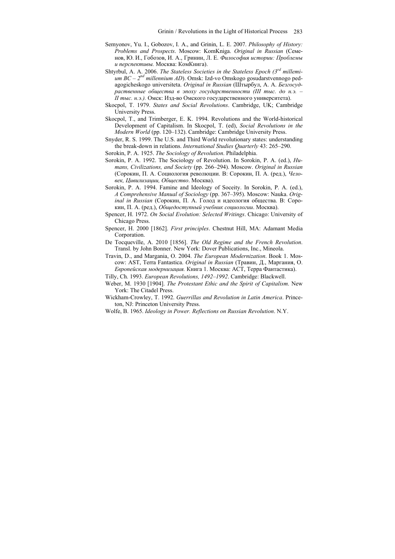- Semyonov, Yu. I., Gobozov, I. A., and Grinin, L. E. 2007. *Philosophy of History: Problems and Prospects*. Moscow: KomKniga. *Original in Russian* (Семенов, Ю. И., Гобозов, И. А., Гринин, Л. Е. *Философия истории: Проблемы и перспективы.* Москва: КомКнига).
- Shtyrbul, A. A. 2006. *The Stateless Societies in the Stateless Epoch (3rd millemium BC – 2nd millennium AD*). Omsk: Izd-vo Omskogo gosudarstvennogo pedagogicheskogo universiteta. *Original in Russian* (Штырбул, А. А. *Безгосудраственные общества в эпоху государственности (III тыс. до н.э. – II тыс. н.э.).* Омск: Изд-во Омского государственного университета).
- Skocpol, T. 1979. *States and Social Revolutions*. Cambridge, UK; Cambridge University Press.
- Skocpol, T., and Trimberger, E. K. 1994. Revolutions and the World-historical Development of Capitalism. In Skocpol, T. (ed), *Social Revolutions in the Modern World* (pp. 120–132). Cambridge: Cambridge University Press.
- Snyder, R. S. 1999. The U.S. and Third World revolutionary states: understanding the break-down in relations. *International Studies Quarterly* 43: 265–290.
- Sorokin, P. A. 1925. *The Sociology of Revolution*. Philadelphia.
- Sorokin, P. A. 1992. The Sociology of Revolution. In Sorokin, P. A. (ed.), *Humans, Civilizations, and Society* (pp. 266–294). Moscow. *Original in Russian* (Сорокин, П. А. Социология революции. В: Сорокин, П. А. (ред.), *Человек, Цивилизации, Общество*. Москва).
- Sorokin, P. A. 1994. Famine and Ideology of Soceity. In Sorokin, P. A. (ed.), *A Comprehensive Manual of Sociology* (pp. 367–395). Moscow: Nauka. *Original in Russian* (Сорокин, П. А. Голод и идеология общества. В: Сорокин, П. А. (ред.), *Общедоступный учебник социологии*. Москва).
- Spencer, H. 1972. *On Social Evolution: Selected Writings*. Chicago: University of Chicago Press.
- Spencer, H. 2000 [1862]. *First principles*. Chestnut Hill, MA: Adamant Media Corporation.
- De Tocqueville, A. 2010 [1856]. *The Old Regime and the French Revolution*. Transl. by John Bonner. New York: Dover Publications, Inc., Mineola.
- Travin, D., and Margania, O. 2004. *The European Modernization*. Book 1. Moscow: AST, Terra Fantastica. *Original in Russian* (Травин, Д., Маргания, О. *Европейская модернизация.* Книга 1. Москва: АСТ, Терра Фантастика).
- Tilly, Ch. 1993. *European Revolutions, 1492–1992*. Cambridge: Blackwell.
- Weber, M. 1930 [1904]. *The Protestant Ethic and the Spirit of Capitalism*. New York: The Citadel Press.
- Wickham-Crowley, T. 1992. *Guerrillas and Revolution in Latin America*. Princeton, NJ: Princeton University Press.
- Wolfe, B. 1965. *Ideology in Power. Reflections on Russian Revolution*. N.Y.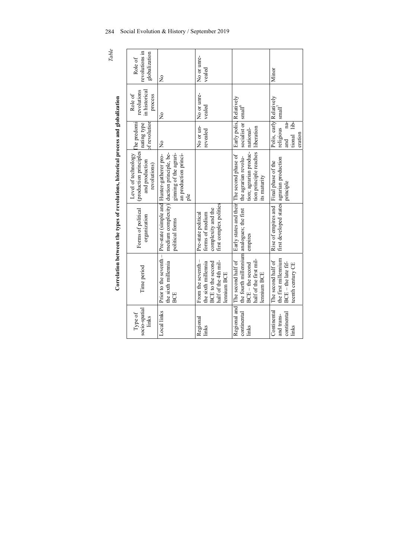| 284   | Social Evolution & History / September 2019 |    |  |
|-------|---------------------------------------------|----|--|
| Table |                                             | C. |  |

| i                                                                                                 |
|---------------------------------------------------------------------------------------------------|
|                                                                                                   |
|                                                                                                   |
|                                                                                                   |
|                                                                                                   |
|                                                                                                   |
|                                                                                                   |
|                                                                                                   |
|                                                                                                   |
|                                                                                                   |
|                                                                                                   |
|                                                                                                   |
|                                                                                                   |
|                                                                                                   |
|                                                                                                   |
|                                                                                                   |
|                                                                                                   |
|                                                                                                   |
|                                                                                                   |
| $\frac{1}{2}$                                                                                     |
|                                                                                                   |
|                                                                                                   |
| į                                                                                                 |
|                                                                                                   |
|                                                                                                   |
|                                                                                                   |
|                                                                                                   |
|                                                                                                   |
|                                                                                                   |
|                                                                                                   |
|                                                                                                   |
| ֧֧֧֧֧֪֧֪֧֪֪֪֪֪֧֧֧֧֧֧֧֧֧֧֧֚֚֚֚֚֚֚֚֚֚֝֝֝֝֓֕֓֝֬֝֬֝֬֝֓֝֬֝֬֝֓֝֬֝֓֬֝֓֬֓֝֬֝֓֝֬֝֬֝֓֝֬֝֬֝֬֝֬֝֬֝֬֝֬֝֬֝֬֝֬֝֬ |
|                                                                                                   |
|                                                                                                   |
| i                                                                                                 |
| ć                                                                                                 |
|                                                                                                   |
|                                                                                                   |
|                                                                                                   |
|                                                                                                   |
|                                                                                                   |
|                                                                                                   |
|                                                                                                   |
|                                                                                                   |
|                                                                                                   |
|                                                                                                   |
|                                                                                                   |
|                                                                                                   |
|                                                                                                   |
|                                                                                                   |
|                                                                                                   |
|                                                                                                   |
|                                                                                                   |
|                                                                                                   |
|                                                                                                   |
|                                                                                                   |
|                                                                                                   |
|                                                                                                   |
|                                                                                                   |
| i                                                                                                 |
|                                                                                                   |
| 5<br>$\zeta$                                                                                      |
|                                                                                                   |
|                                                                                                   |

|                                                                                    | revolutions in<br>globalization<br>Role of                                       | $\frac{1}{2}$                                                                                       | No or unre-<br>vealed                                                                                        |                                                                                                                                                               | Minor                                                                                    |
|------------------------------------------------------------------------------------|----------------------------------------------------------------------------------|-----------------------------------------------------------------------------------------------------|--------------------------------------------------------------------------------------------------------------|---------------------------------------------------------------------------------------------------------------------------------------------------------------|------------------------------------------------------------------------------------------|
|                                                                                    | in historical<br>revolutions<br>Role of<br>process                               | ž                                                                                                   | No or unre-<br>vealed                                                                                        | small <sup>°</sup>                                                                                                                                            | $\text{small}^\prime$                                                                    |
|                                                                                    | The predomi<br>of revolution<br>nating type                                      | ž                                                                                                   | No or un-<br>revealed                                                                                        | Early polis, Relatively<br>socialist or                                                                                                                       | Polis, early Relatively<br>na-<br>lib-<br>religious<br>mother<br>tional<br>and           |
| Correlation between the types of revolutions, historical process and globalization | (production principles)<br>Level of technology<br>and production<br>revolutions) | ginning of the agrari-<br>medium complexity) duction principle, be-<br>an production princi-<br>ple |                                                                                                              | tion principle reaches liberation<br>tion; agrarian produc-   national-<br>Early states and their The second phase of<br>the agrarian revolu-<br>its maturity | Final phase of the<br>principle                                                          |
|                                                                                    | Forms of political<br>organization                                               | Prior to the seventh - Pre-state (simple and Hunter-gatherer pro-<br>political forms                | first complex polities<br>complexity and the<br>Pre-state political<br>forms of medium                       | empires                                                                                                                                                       | first developed states agrarian production<br>Rise of empires and                        |
|                                                                                    | Time period                                                                      | the sixth millennia<br>BCE                                                                          | From the seventh –<br>half of the 4th mil-<br>the sixth millennia<br><b>BCE</b> to the second<br>lennium BCE | the fourth millennium analogues; the first<br>half of the first mil-<br>Regional and The second half of<br>BCE-the second<br>lennium BCE                      | the first millennium<br>The second half of<br>$BCE - the late fif-$<br>teenth century CE |
|                                                                                    | socio-spatial<br>Type of<br>links                                                | Local links                                                                                         | Regional<br>links                                                                                            | continental<br>links                                                                                                                                          | Continental<br>continental<br>and trans-<br>links                                        |